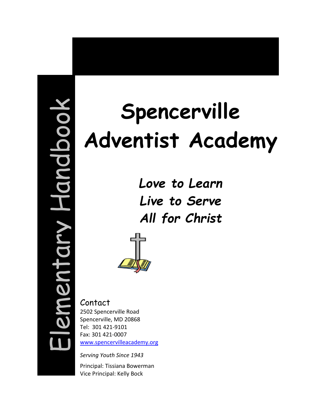# Elementary Handbookdboc ement

# **Spencerville Adventist Academy**

*Love to Learn Live to Serve All for Christ*



Contact 2502 Spencerville Road Spencerville, MD 20868 Tel: 301 421-9101 Fax: 301 421-0007 [www.spencervilleacademy.org](http://www.spencervilleacademy.org/)

*Serving Youth Since 1943*

Principal: Tissiana Bowerman Vice Principal: Kelly Bock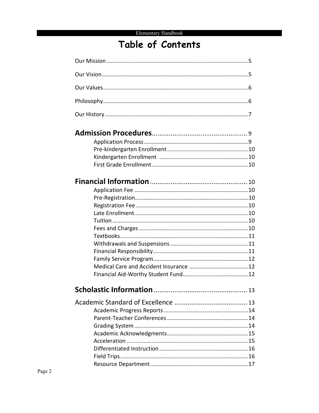# Table of Contents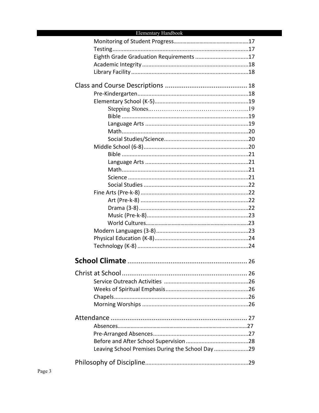| Eighth Grade Graduation Requirements 17         |  |
|-------------------------------------------------|--|
|                                                 |  |
|                                                 |  |
|                                                 |  |
|                                                 |  |
|                                                 |  |
|                                                 |  |
|                                                 |  |
|                                                 |  |
|                                                 |  |
|                                                 |  |
|                                                 |  |
|                                                 |  |
|                                                 |  |
|                                                 |  |
|                                                 |  |
|                                                 |  |
|                                                 |  |
|                                                 |  |
|                                                 |  |
|                                                 |  |
|                                                 |  |
|                                                 |  |
|                                                 |  |
|                                                 |  |
|                                                 |  |
|                                                 |  |
|                                                 |  |
|                                                 |  |
|                                                 |  |
|                                                 |  |
|                                                 |  |
|                                                 |  |
|                                                 |  |
|                                                 |  |
|                                                 |  |
|                                                 |  |
|                                                 |  |
| Leaving School Premises During the School Day29 |  |
|                                                 |  |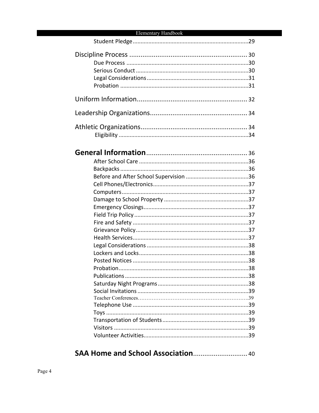##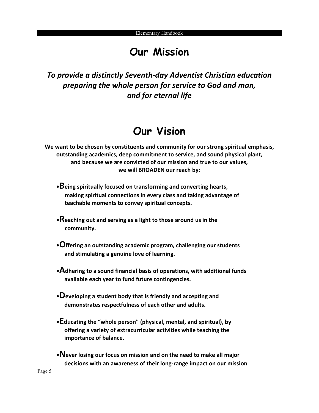# **Our Mission**

*To provide a distinctly Seventh-day Adventist Christian education preparing the whole person for service to God and man, and for eternal life*

# **Our Vision**

**We want to be chosen by constituents and community for our strong spiritual emphasis, outstanding academics, deep commitment to service, and sound physical plant, and because we are convicted of our mission and true to our values, we will BROADEN our reach by:**

- **•Being spiritually focused on transforming and converting hearts, making spiritual connections in every class and taking advantage of teachable moments to convey spiritual concepts.**
- **•Reaching out and serving as a light to those around us in the community.**
- **•Offering an outstanding academic program, challenging our students and stimulating a genuine love of learning.**
- **•Adhering to a sound financial basis of operations, with additional funds available each year to fund future contingencies.**
- **•Developing a student body that is friendly and accepting and demonstrates respectfulness of each other and adults.**
- **•Educating the "whole person" (physical, mental, and spiritual), by offering a variety of extracurricular activities while teaching the importance of balance.**
- **•Never losing our focus on mission and on the need to make all major decisions with an awareness of their long-range impact on our mission**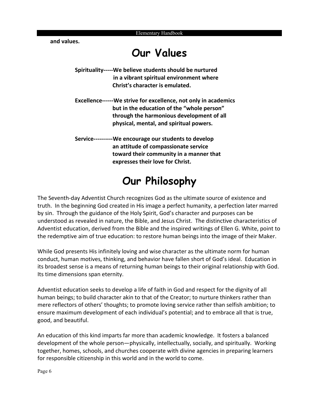**and values.**

# **Our Values**

- **Spirituality-----We believe students should be nurtured in a vibrant spiritual environment where Christ's character is emulated.**
- **Excellence------We strive for excellence, not only in academics but in the education of the "whole person" through the harmonious development of all physical, mental, and spiritual powers.**
- **Service----------We encourage our students to develop an attitude of compassionate service toward their community in a manner that expresses their love for Christ.**

# **Our Philosophy**

The Seventh-day Adventist Church recognizes God as the ultimate source of existence and truth. In the beginning God created in His image a perfect humanity, a perfection later marred by sin. Through the guidance of the Holy Spirit, God's character and purposes can be understood as revealed in nature, the Bible, and Jesus Christ. The distinctive characteristics of Adventist education, derived from the Bible and the inspired writings of Ellen G. White, point to the redemptive aim of true education: to restore human beings into the image of their Maker.

While God presents His infinitely loving and wise character as the ultimate norm for human conduct, human motives, thinking, and behavior have fallen short of God's ideal. Education in its broadest sense is a means of returning human beings to their original relationship with God. Its time dimensions span eternity.

Adventist education seeks to develop a life of faith in God and respect for the dignity of all human beings; to build character akin to that of the Creator; to nurture thinkers rather than mere reflectors of others' thoughts; to promote loving service rather than selfish ambition; to ensure maximum development of each individual's potential; and to embrace all that is true, good, and beautiful.

An education of this kind imparts far more than academic knowledge. It fosters a balanced development of the whole person—physically, intellectually, socially, and spiritually. Working together, homes, schools, and churches cooperate with divine agencies in preparing learners for responsible citizenship in this world and in the world to come.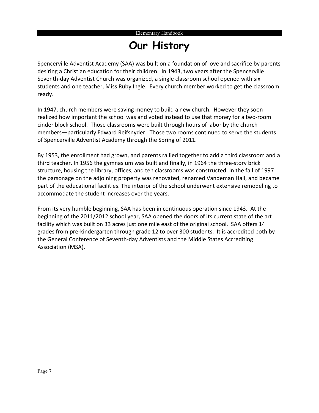# **Our History**

Spencerville Adventist Academy (SAA) was built on a foundation of love and sacrifice by parents desiring a Christian education for their children. In 1943, two years after the Spencerville Seventh-day Adventist Church was organized, a single classroom school opened with six students and one teacher, Miss Ruby Ingle. Every church member worked to get the classroom ready.

In 1947, church members were saving money to build a new church. However they soon realized how important the school was and voted instead to use that money for a two-room cinder block school. Those classrooms were built through hours of labor by the church members—particularly Edward Reifsnyder. Those two rooms continued to serve the students of Spencerville Adventist Academy through the Spring of 2011.

By 1953, the enrollment had grown, and parents rallied together to add a third classroom and a third teacher. In 1956 the gymnasium was built and finally, in 1964 the three-story brick structure, housing the library, offices, and ten classrooms was constructed. In the fall of 1997 the parsonage on the adjoining property was renovated, renamed Vandeman Hall, and became part of the educational facilities. The interior of the school underwent extensive remodeling to accommodate the student increases over the years.

From its very humble beginning, SAA has been in continuous operation since 1943. At the beginning of the 2011/2012 school year, SAA opened the doors of its current state of the art facility which was built on 33 acres just one mile east of the original school. SAA offers 14 grades from pre-kindergarten through grade 12 to over 300 students. It is accredited both by the General Conference of Seventh-day Adventists and the Middle States Accrediting Association (MSA).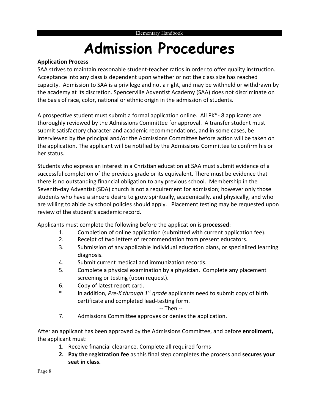# **Admission Procedures**

#### **Application Process**

SAA strives to maintain reasonable student-teacher ratios in order to offer quality instruction. Acceptance into any class is dependent upon whether or not the class size has reached capacity. Admission to SAA is a privilege and not a right, and may be withheld or withdrawn by the academy at its discretion. Spencerville Adventist Academy (SAA) does not discriminate on the basis of race, color, national or ethnic origin in the admission of students.

A prospective student must submit a formal application online. All PK\*- 8 applicants are thoroughly reviewed by the Admissions Committee for approval. A transfer student must submit satisfactory character and academic recommendations, and in some cases, be interviewed by the principal and/or the Admissions Committee before action will be taken on the application. The applicant will be notified by the Admissions Committee to confirm his or her status.

Students who express an interest in a Christian education at SAA must submit evidence of a successful completion of the previous grade or its equivalent. There must be evidence that there is no outstanding financial obligation to any previous school. Membership in the Seventh-day Adventist (SDA) church is not a requirement for admission; however only those students who have a sincere desire to grow spiritually, academically, and physically, and who are willing to abide by school policies should apply. Placement testing may be requested upon review of the student's academic record.

Applicants must complete the following before the application is **processed**:

- 1. Completion of online application (submitted with current application fee).
- 2. Receipt of two letters of recommendation from present educators.
- 3. Submission of any applicable individual education plans, or specialized learning diagnosis.
- 4. Submit current medical and immunization records.
- 5. Complete a physical examination by a physician. Complete any placement screening or testing (upon request).
- 6. Copy of latest report card.
- In addition, Pre-K through 1<sup>st</sup> grade applicants need to submit copy of birth certificate and completed lead-testing form.

#### -- Then --

7. Admissions Committee approves or denies the application.

After an applicant has been approved by the Admissions Committee, and before **enrollment,**  the applicant must:

- 1. Receive financial clearance. Complete all required forms
- **2. Pay the registration fee** as this final step completes the process and **secures your seat in class.**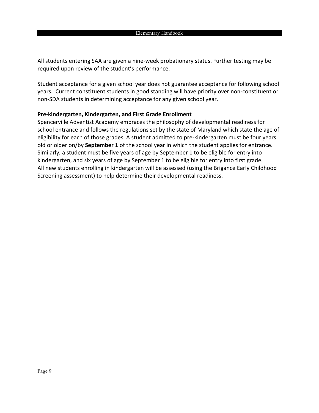All students entering SAA are given a nine-week probationary status. Further testing may be required upon review of the student's performance.

Student acceptance for a given school year does not guarantee acceptance for following school years. Current constituent students in good standing will have priority over non-constituent or non-SDA students in determining acceptance for any given school year.

#### **Pre-kindergarten, Kindergarten, and First Grade Enrollment**

Spencerville Adventist Academy embraces the philosophy of developmental readiness for school entrance and follows the regulations set by the state of Maryland which state the age of eligibility for each of those grades. A student admitted to pre-kindergarten must be four years old or older on/by **September 1** of the school year in which the student applies for entrance. Similarly, a student must be five years of age by September 1 to be eligible for entry into kindergarten, and six years of age by September 1 to be eligible for entry into first grade. All new students enrolling in kindergarten will be assessed (using the Brigance Early Childhood Screening assessment) to help determine their developmental readiness.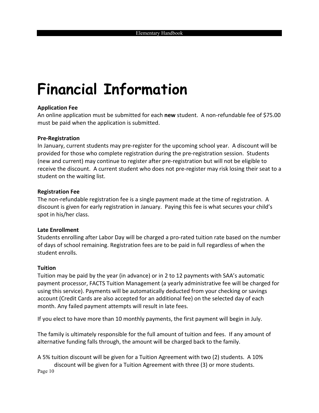# **Financial Information**

#### **Application Fee**

An online application must be submitted for each **new** student. A non-refundable fee of \$75.00 must be paid when the application is submitted.

#### **Pre-Registration**

In January, current students may pre-register for the upcoming school year. A discount will be provided for those who complete registration during the pre-registration session. Students (new and current) may continue to register after pre-registration but will not be eligible to receive the discount. A current student who does not pre-register may risk losing their seat to a student on the waiting list.

#### **Registration Fee**

The non-refundable registration fee is a single payment made at the time of registration. A discount is given for early registration in January. Paying this fee is what secures your child's spot in his/her class.

#### **Late Enrollment**

Students enrolling after Labor Day will be charged a pro-rated tuition rate based on the number of days of school remaining. Registration fees are to be paid in full regardless of when the student enrolls.

#### **Tuition**

Tuition may be paid by the year (in advance) or in 2 to 12 payments with SAA's automatic payment processor, FACTS Tuition Management (a yearly administrative fee will be charged for using this service). Payments will be automatically deducted from your checking or savings account (Credit Cards are also accepted for an additional fee) on the selected day of each month. Any failed payment attempts will result in late fees.

If you elect to have more than 10 monthly payments, the first payment will begin in July.

The family is ultimately responsible for the full amount of tuition and fees. If any amount of alternative funding falls through, the amount will be charged back to the family.

Page 10 A 5% tuition discount will be given for a Tuition Agreement with two (2) students. A 10% discount will be given for a Tuition Agreement with three (3) or more students.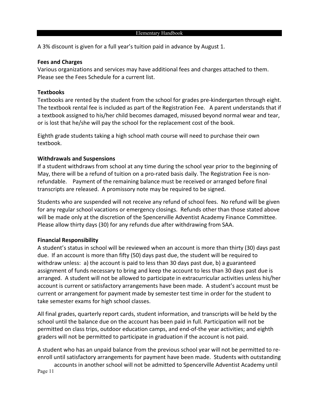A 3% discount is given for a full year's tuition paid in advance by August 1.

#### **Fees and Charges**

Various organizations and services may have additional fees and charges attached to them. Please see the Fees Schedule for a current list.

#### **Textbooks**

Textbooks are rented by the student from the school for grades pre-kindergarten through eight. The textbook rental fee is included as part of the Registration Fee. A parent understands that if a textbook assigned to his/her child becomes damaged, misused beyond normal wear and tear, or is lost that he/she will pay the school for the replacement cost of the book.

Eighth grade students taking a high school math course will need to purchase their own textbook.

#### **Withdrawals and Suspensions**

If a student withdraws from school at any time during the school year prior to the beginning of May, there will be a refund of tuition on a pro-rated basis daily. The Registration Fee is nonrefundable. Payment of the remaining balance must be received or arranged before final transcripts are released. A promissory note may be required to be signed.

Students who are suspended will not receive any refund of school fees. No refund will be given for any regular school vacations or emergency closings. Refunds other than those stated above will be made only at the discretion of the Spencerville Adventist Academy Finance Committee. Please allow thirty days (30) for any refunds due after withdrawing from SAA.

#### **Financial Responsibility**

A student's status in school will be reviewed when an account is more than thirty (30) days past due. If an account is more than fifty (50) days past due, the student will be required to withdraw unless: a) the account is paid to less than 30 days past due, b) a guaranteed assignment of funds necessary to bring and keep the account to less than 30 days past due is arranged. A student will not be allowed to participate in extracurricular activities unless his/her account is current or satisfactory arrangements have been made. A student's account must be current or arrangement for payment made by semester test time in order for the student to take semester exams for high school classes.

All final grades, quarterly report cards, student information, and transcripts will be held by the school until the balance due on the account has been paid in full. Participation will not be permitted on class trips, outdoor education camps, and end-of-the year activities; and eighth graders will not be permitted to participate in graduation if the account is not paid.

A student who has an unpaid balance from the previous school year will not be permitted to reenroll until satisfactory arrangements for payment have been made. Students with outstanding

Page 11 accounts in another school will not be admitted to Spencerville Adventist Academy until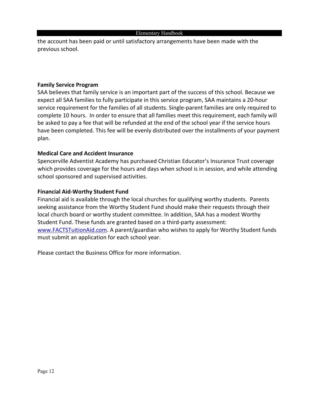the account has been paid or until satisfactory arrangements have been made with the previous school.

#### **Family Service Program**

SAA believes that family service is an important part of the success of this school. Because we expect all SAA families to fully participate in this service program, SAA maintains a 20-hour service requirement for the families of all students. Single-parent families are only required to complete 10 hours. In order to ensure that all families meet this requirement, each family will be asked to pay a fee that will be refunded at the end of the school year if the service hours have been completed. This fee will be evenly distributed over the installments of your payment plan.

#### **Medical Care and Accident Insurance**

Spencerville Adventist Academy has purchased Christian Educator's Insurance Trust coverage which provides coverage for the hours and days when school is in session, and while attending school sponsored and supervised activities.

#### **Financial Aid-Worthy Student Fund**

Financial aid is available through the local churches for qualifying worthy students. Parents seeking assistance from the Worthy Student Fund should make their requests through their local church board or worthy student committee. In addition, SAA has a modest Worthy Student Fund. These funds are granted based on a third-party assessment: [www.FACTSTuitionAid.com.](http://www.factstuitionaid.com/) A parent/guardian who wishes to apply for Worthy Student funds must submit an application for each school year.

Please contact the Business Office for more information.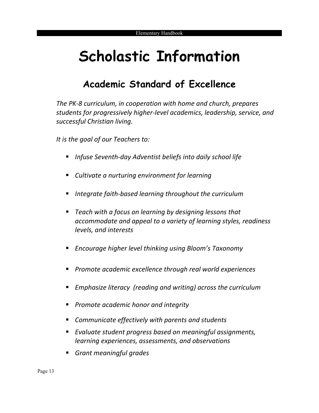# **Scholastic Information**

# **Academic Standard of Excellence**

*The PK-8 curriculum, in cooperation with home and church, prepares students for progressively higher-level academics, leadership, service, and successful Christian living.*

*It is the goal of our Teachers to:*

- *Infuse Seventh-day Adventist beliefs into daily school life*
- *Cultivate a nurturing environment for learning*
- *Integrate faith-based learning throughout the curriculum*
- *Teach with a focus on learning by designing lessons that accommodate and appeal to a variety of learning styles, readiness levels, and interests*
- *Encourage higher level thinking using Bloom's Taxonomy*
- *Promote academic excellence through real world experiences*
- *Emphasize literacy (reading and writing) across the curriculum*
- *Promote academic honor and integrity*
- *Communicate effectively with parents and students*
- *Evaluate student progress based on meaningful assignments, learning experiences, assessments, and observations*
- *Grant meaningful grades*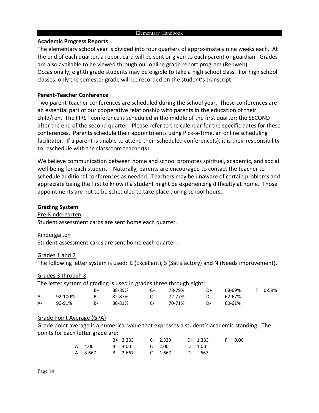#### **Academic Progress Reports**

The elementary school year is divided into four quarters of approximately nine weeks each. At the end of each quarter, a report card will be sent or given to each parent or guardian. Grades are also available to be viewed through our online grade report program (Renweb). Occasionally, eighth grade students may be eligible to take a high school class. For high school classes, only the semester grade will be recorded on the student's transcript.

#### **Parent-Teacher Conference**

Two parent-teacher conferences are scheduled during the school year. These conferences are an essential part of our cooperative relationship with parents in the education of their child/ren. The FIRST conference is scheduled in the middle of the first quarter; the SECOND after the end of the second quarter. Please refer to the calendar for the specific dates for these conferences. Parents schedule their appointments using Pick-a-Time, an online scheduling facilitator. If a parent is unable to attend their scheduled conference(s), it is their responsibility to reschedule with the classroom teacher(s).

We believe communication between home and school promotes spiritual, academic, and social well-being for each student. Naturally, parents are encouraged to contact the teacher to schedule additional conferences as needed. Teachers may be unaware of certain problems and appreciate being the first to know if a student might be experiencing difficulty at home. Those appointments are not to be scheduled to take place during school hours.

#### **Grading System**

#### Pre-Kindergarten

Student assessment cards are sent home each quarter.

#### Kindergarten

Student assessment cards are sent home each quarter.

#### Grades 1 and 2

The following letter system is used: E (Excellent), S (Satisfactory) and N (Needs improvement).

#### Grades 3 through 8

The letter system of grading is used in grades three through eight:

|              |         | B+    | 88-89% | C+           | 78-79% | D+ | 68-69% | F 0-59% |
|--------------|---------|-------|--------|--------------|--------|----|--------|---------|
| $\mathsf{A}$ | 92-100% | B.    | 82-87% | $\mathsf{C}$ | 72-77% | D. | 62-67% |         |
| A-           | 90-91%  | $B -$ | 80-81% | C-           | 70-71% | D- | 60-61% |         |

#### Grade Point Average (GPA)

Grade point average is a numerical value that expresses a student's academic standing. The points for each letter grade are:

|          | B+ 3.333 | C+ 2.333      | D+ 1.333 | F 0.00 |
|----------|----------|---------------|----------|--------|
| A 4.00   | B 3.00   | C 2.00 D 1.00 |          |        |
| A- 3.667 | B- 2.667 | C- 1.667      | D- .667  |        |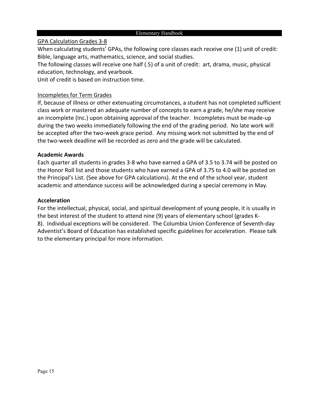#### GPA Calculation Grades 3-8

When calculating students' GPAs, the following core classes each receive one (1) unit of credit: Bible, language arts, mathematics, science, and social studies.

The following classes will receive one half (.5) of a unit of credit: art, drama, music, physical education, technology, and yearbook.

Unit of credit is based on instruction time.

#### Incompletes for Term Grades

If, because of illness or other extenuating circumstances, a student has not completed sufficient class work or mastered an adequate number of concepts to earn a grade, he/she may receive an incomplete (Inc.) upon obtaining approval of the teacher. Incompletes must be made-up during the two weeks immediately following the end of the grading period. No late work will be accepted after the two-week grace period. Any missing work not submitted by the end of the two-week deadline will be recorded as zero and the grade will be calculated.

#### **Academic Awards**

Each quarter all students in grades 3-8 who have earned a GPA of 3.5 to 3.74 will be posted on the Honor Roll list and those students who have earned a GPA of 3.75 to 4.0 will be posted on the Principal's List. (See above for GPA calculations). At the end of the school year, student academic and attendance success will be acknowledged during a special ceremony in May.

#### **Acceleration**

For the intellectual, physical, social, and spiritual development of young people, it is usually in the best interest of the student to attend nine (9) years of elementary school (grades K-8). Individual exceptions will be considered. The Columbia Union Conference of Seventh-day Adventist's Board of Education has established specific guidelines for acceleration. Please talk to the elementary principal for more information.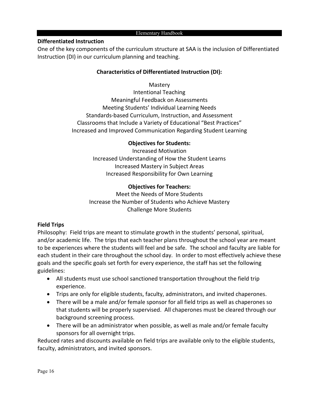#### **Differentiated Instruction**

One of the key components of the curriculum structure at SAA is the inclusion of Differentiated Instruction (DI) in our curriculum planning and teaching.

#### **Characteristics of Differentiated Instruction (DI):**

#### **Mastery**

Intentional Teaching Meaningful Feedback on Assessments Meeting Students' Individual Learning Needs Standards-based Curriculum, Instruction, and Assessment Classrooms that Include a Variety of Educational "Best Practices" Increased and Improved Communication Regarding Student Learning

#### **Objectives for Students:**

Increased Motivation Increased Understanding of How the Student Learns Increased Mastery in Subject Areas Increased Responsibility for Own Learning

#### **Objectives for Teachers:**

Meet the Needs of More Students Increase the Number of Students who Achieve Mastery Challenge More Students

#### **Field Trips**

Philosophy: Field trips are meant to stimulate growth in the students' personal, spiritual, and/or academic life. The trips that each teacher plans throughout the school year are meant to be experiences where the students will feel and be safe. The school and faculty are liable for each student in their care throughout the school day. In order to most effectively achieve these goals and the specific goals set forth for every experience, the staff has set the following guidelines:

- All students must use school sanctioned transportation throughout the field trip experience.
- Trips are only for eligible students, faculty, administrators, and invited chaperones.
- There will be a male and/or female sponsor for all field trips as well as chaperones so that students will be properly supervised. All chaperones must be cleared through our background screening process.
- There will be an administrator when possible, as well as male and/or female faculty sponsors for all overnight trips.

Reduced rates and discounts available on field trips are available only to the eligible students, faculty, administrators, and invited sponsors.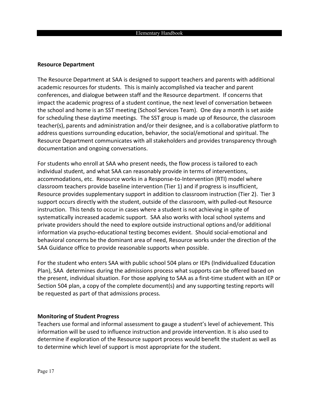#### **Resource Department**

The Resource Department at SAA is designed to support teachers and parents with additional academic resources for students. This is mainly accomplished via teacher and parent conferences, and dialogue between staff and the Resource department. If concerns that impact the academic progress of a student continue, the next level of conversation between the school and home is an SST meeting (School Services Team). One day a month is set aside for scheduling these daytime meetings. The SST group is made up of Resource, the classroom teacher(s), parents and administration and/or their designee, and is a collaborative platform to address questions surrounding education, behavior, the social/emotional and spiritual. The Resource Department communicates with all stakeholders and provides transparency through documentation and ongoing conversations.

For students who enroll at SAA who present needs, the flow process is tailored to each individual student, and what SAA can reasonably provide in terms of interventions, accommodations, etc. Resource works in a Response-to-Intervention (RTI) model where classroom teachers provide baseline intervention (Tier 1) and if progress is insufficient, Resource provides supplementary support in addition to classroom instruction (Tier 2). Tier 3 support occurs directly with the student, outside of the classroom, with pulled-out Resource instruction. This tends to occur in cases where a student is not achieving in spite of systematically increased academic support. SAA also works with local school systems and private providers should the need to explore outside instructional options and/or additional information via psycho-educational testing becomes evident. Should social-emotional and behavioral concerns be the dominant area of need, Resource works under the direction of the SAA Guidance office to provide reasonable supports when possible.

For the student who enters SAA with public school 504 plans or IEPs (Individualized Education Plan), SAA determines during the admissions process what supports can be offered based on the present, individual situation. For those applying to SAA as a first-time student with an IEP or Section 504 plan, a copy of the complete document(s) and any supporting testing reports will be requested as part of that admissions process.

#### **Monitoring of Student Progress**

Teachers use formal and informal assessment to gauge a student's level of achievement. This information will be used to influence instruction and provide intervention. It is also used to determine if exploration of the Resource support process would benefit the student as well as to determine which level of support is most appropriate for the student.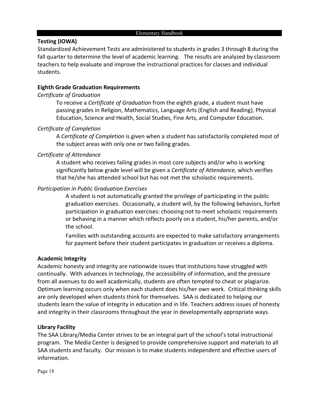#### **Testing (IOWA)**

Standardized Achievement Tests are administered to students in grades 3 through 8 during the fall quarter to determine the level of academic learning. The results are analyzed by classroom teachers to help evaluate and improve the instructional practices for classes and individual students.

#### **Eighth Grade Graduation Requirements**

#### *Certificate of Graduation*

To receive a *Certificate of Graduation* from the eighth grade, a student must have passing grades in Religion, Mathematics, Language Arts (English and Reading), Physical Education, Science and Health, Social Studies, Fine Arts, and Computer Education.

#### *Certificate of Completion*

A *Certificate of Completion* is given when a student has satisfactorily completed most of the subject areas with only one or two failing grades.

#### *Certificate of Attendance*

A student who receives failing grades in most core subjects and/or who is working significantly below grade level will be given a *Certificate of Attendance,* which verifies that he/she has attended school but has not met the scholastic requirements.

#### *Participation in Public Graduation Exercises*

A student is not automatically granted the privilege of participating in the public graduation exercises. Occasionally, a student will, by the following behaviors, forfeit participation in graduation exercises: choosing not to meet scholastic requirements or behaving in a manner which reflects poorly on a student, his/her parents, and/or the school.

Families with outstanding accounts are expected to make satisfactory arrangements for payment before their student participates in graduation or receives a diploma.

#### **Academic Integrity**

Academic honesty and integrity are nationwide issues that institutions have struggled with continually. With advances in technology, the accessibility of information, and the pressure from all avenues to do well academically, students are often tempted to cheat or plagiarize. Optimum learning occurs only when each student does his/her own work. Critical thinking skills are only developed when students think for themselves. SAA is dedicated to helping our students learn the value of integrity in education and in life. Teachers address issues of honesty and integrity in their classrooms throughout the year in developmentally appropriate ways.

#### **Library Facility**

The SAA Library/Media Center strives to be an integral part of the school's total instructional program. The Media Center is designed to provide comprehensive support and materials to all SAA students and faculty. Our mission is to make students independent and effective users of information.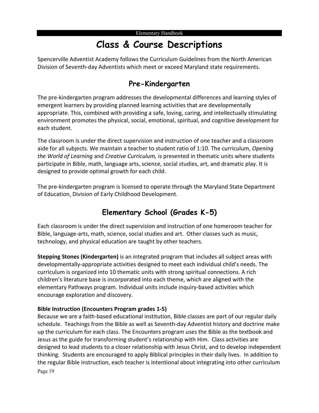# **Class & Course Descriptions**

Spencerville Adventist Academy follows the Curriculum Guidelines from the North American Division of Seventh-day Adventists which meet or exceed Maryland state requirements.

#### **Pre-Kindergarten**

The pre-kindergarten program addresses the developmental differences and learning styles of emergent learners by providing planned learning activities that are developmentally appropriate. This, combined with providing a safe, loving, caring, and intellectually stimulating environment promotes the physical, social, emotional, spiritual, and cognitive development for each student.

The classroom is under the direct supervision and instruction of one teacher and a classroom aide for all subjects. We maintain a teacher to student ratio of 1:10. The curriculum, *Opening the World of Learning* and *Creative Curriculum,* is presented in thematic units where students participate in Bible, math, language arts, science, social studies, art, and dramatic play. It is designed to provide optimal growth for each child.

The pre-kindergarten program is licensed to operate through the Maryland State Department of Education, Division of Early Childhood Development.

## **Elementary School (Grades K-5)**

Each classroom is under the direct supervision and instruction of one homeroom teacher for Bible, language-arts, math, science, social studies and art. Other classes such as music, technology, and physical education are taught by other teachers.

**Stepping Stones (Kindergarten)** is an integrated program that includes all subject areas with developmentally-appropriate activities designed to meet each individual child's needs. The curriculum is organized into 10 thematic units with strong spiritual connections. A rich children's literature base is incorporated into each theme, which are aligned with the elementary Pathways program. Individual units include inquiry-based activities which encourage exploration and discovery.

#### **Bible Instruction (Encounters Program grades 1-5)**

Page 19 Because we are a faith-based educational institution, Bible classes are part of our regular daily schedule. Teachings from the Bible as well as Seventh-day Adventist history and doctrine make up the curriculum for each class. The Encounters program uses the Bible as the textbook and Jesus as the guide for transforming student's relationship with Him. Class activities are designed to lead students to a closer relationship with Jesus Christ, and to develop independent thinking. Students are encouraged to apply Biblical principles in their daily lives. In addition to the regular Bible instruction, each teacher is intentional about integrating into other curriculum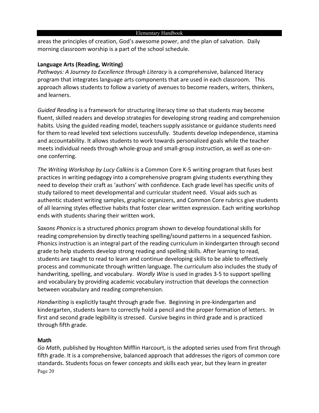areas the principles of creation, God's awesome power, and the plan of salvation. Daily morning classroom worship is a part of the school schedule.

#### **Language Arts (Reading, Writing)**

*Pathways: A Journey to Excellence through Literacy* is a comprehensive, balanced literacy program that integrates language arts components that are used in each classroom. This approach allows students to follow a variety of avenues to become readers, writers, thinkers, and learners.

*Guided Reading* is a framework for structuring literacy time so that students may become fluent, skilled readers and develop strategies for developing strong reading and comprehension habits. Using the guided reading model, teachers supply assistance or guidance students need for them to read leveled text selections successfully. Students develop independence, stamina and accountability. It allows students to work towards personalized goals while the teacher meets individual needs through whole-group and small-group instruction, as well as one-onone conferring.

*The Writing Workshop by Lucy Calkins* is a Common Core K-5 writing program that fuses best practices in writing pedagogy into a comprehensive program giving students everything they need to develop their craft as 'authors' with confidence. Each grade level has specific units of study tailored to meet developmental and curricular student need. Visual aids such as authentic student writing samples, graphic organizers, and Common Core rubrics give students of all learning styles effective habits that foster clear written expression. Each writing workshop ends with students sharing their written work.

*Saxons Phonics* is a structured phonics program shown to develop foundational skills for reading comprehension by directly teaching spelling/sound patterns in a sequenced fashion. Phonics instruction is an integral part of the reading curriculum in kindergarten through second grade to help students develop strong reading and spelling skills. After learning to read, students are taught to read to learn and continue developing skills to be able to effectively process and communicate through written language. The curriculum also includes the study of handwriting, spelling, and vocabulary. *Wordly Wise* is used in grades 3-5 to support spelling and vocabulary by providing academic vocabulary instruction that develops the connection between vocabulary and reading comprehension.

*Handwriting* is explicitly taught through grade five. Beginning in pre-kindergarten and kindergarten, students learn to correctly hold a pencil and the proper formation of letters. In first and second grade legibility is stressed. Cursive begins in third grade and is practiced through fifth grade.

#### **Math**

Page 20 *Go Math*, published by Houghton Mifflin Harcourt, is the adopted series used from first through fifth grade. It is a comprehensive, balanced approach that addresses the rigors of common core standards. Students focus on fewer concepts and skills each year, but they learn in greater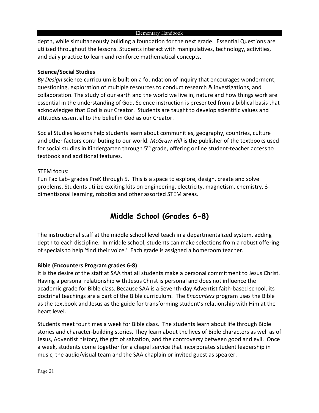depth, while simultaneously building a foundation for the next grade. Essential Questions are utilized throughout the lessons. Students interact with manipulatives, technology, activities, and daily practice to learn and reinforce mathematical concepts.

#### **Science/Social Studies**

*By Design* science curriculum is built on a foundation of inquiry that encourages wonderment, questioning, exploration of multiple resources to conduct research & investigations, and collaboration. The study of our earth and the world we live in, nature and how things work are essential in the understanding of God. Science instruction is presented from a biblical basis that acknowledges that God is our Creator. Students are taught to develop scientific values and attitudes essential to the belief in God as our Creator.

Social Studies lessons help students learn about communities, geography, countries, culture and other factors contributing to our world. *McGraw-Hill* is the publisher of the textbooks used for social studies in Kindergarten through 5<sup>th</sup> grade, offering online student-teacher access to textbook and additional features.

#### STEM focus:

Fun Fab Lab- grades PreK through 5. This is a space to explore, design, create and solve problems. Students utilize exciting kits on engineering, electricity, magnetism, chemistry, 3 dimentisonal learning, robotics and other assorted STEM areas.

## **Middle School (Grades 6-8)**

The instructional staff at the middle school level teach in a departmentalized system, adding depth to each discipline. In middle school, students can make selections from a robust offering of specials to help 'find their voice.' Each grade is assigned a homeroom teacher.

#### **Bible (Encounters Program grades 6-8)**

It is the desire of the staff at SAA that all students make a personal commitment to Jesus Christ. Having a personal relationship with Jesus Christ is personal and does not influence the academic grade for Bible class. Because SAA is a Seventh-day Adventist faith-based school, its doctrinal teachings are a part of the Bible curriculum. The *Encounters* program uses the Bible as the textbook and Jesus as the guide for transforming student's relationship with Him at the heart level.

Students meet four times a week for Bible class. The students learn about life through Bible stories and character-building stories. They learn about the lives of Bible characters as well as of Jesus, Adventist history, the gift of salvation, and the controversy between good and evil. Once a week, students come together for a chapel service that incorporates student leadership in music, the audio/visual team and the SAA chaplain or invited guest as speaker.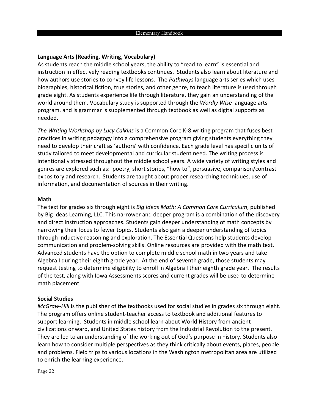#### **Language Arts (Reading, Writing, Vocabulary)**

As students reach the middle school years, the ability to "read to learn" is essential and instruction in effectively reading textbooks continues. Students also learn about literature and how authors use stories to convey life lessons. The *Pathways* language arts series which uses biographies, historical fiction, true stories, and other genre, to teach literature is used through grade eight. As students experience life through literature, they gain an understanding of the world around them. Vocabulary study is supported through the *Wordly Wise* language arts program, and is grammar is supplemented through textbook as well as digital supports as needed.

*The Writing Workshop by Lucy Calkins* is a Common Core K-8 writing program that fuses best practices in writing pedagogy into a comprehensive program giving students everything they need to develop their craft as 'authors' with confidence. Each grade level has specific units of study tailored to meet developmental and curricular student need. The writing process is intentionally stressed throughout the middle school years. A wide variety of writing styles and genres are explored such as: poetry, short stories, "how to", persuasive, comparison/contrast expository and research. Students are taught about proper researching techniques, use of information, and documentation of sources in their writing.

#### **Math**

The text for grades six through eight is *Big Ideas Math: A Common Core Curriculum*, published by Big Ideas Learning, LLC. This narrower and deeper program is a combination of the discovery and direct instruction approaches. Students gain deeper understanding of math concepts by narrowing their focus to fewer topics. Students also gain a deeper understanding of topics through inductive reasoning and exploration. The Essential Questions help students develop communication and problem-solving skills. Online resources are provided with the math text. Advanced students have the option to complete middle school math in two years and take Algebra I during their eighth grade year. At the end of seventh grade, those students may request testing to determine eligibility to enroll in Algebra I their eighth grade year. The results of the test, along with Iowa Assessments scores and current grades will be used to determine math placement.

#### **Social Studies**

*McGraw-Hill* is the publisher of the textbooks used for social studies in grades six through eight. The program offers online student-teacher access to textbook and additional features to support learning. Students in middle school learn about World History from ancient civilizations onward, and United States history from the Industrial Revolution to the present. They are led to an understanding of the working out of God's purpose in history. Students also learn how to consider multiple perspectives as they think critically about events, places, people and problems. Field trips to various locations in the Washington metropolitan area are utilized to enrich the learning experience.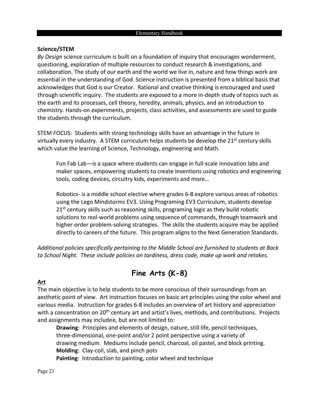#### **Science/STEM**

*By Design* science curriculum is built on a foundation of inquiry that encourages wonderment, questioning, exploration of multiple resources to conduct research & investigations, and collaboration. The study of our earth and the world we live in, nature and how things work are essential in the understanding of God. Science instruction is presented from a biblical basis that acknowledges that God is our Creator. Rational and creative thinking is encouraged and used through scientific inquiry. The students are exposed to a more in-depth study of topics such as the earth and its processes, cell theory, heredity, animals, physics, and an introduction to chemistry. Hands-on experiments, projects, class activities, and assessments are used to guide the students through the curriculum.

STEM FOCUS: Students with strong technology skills have an advantage in the future in virtually every industry. A STEM curriculum helps students be develop the 21<sup>st</sup> century skills which value the learning of Science, Technology, engineering and Math.

Fun Fab Lab—is a space where students can engage in full-scale innovation labs and maker spaces, empowering students to create inventions using robotics and engineering tools, coding devices, circuitry kids, experiments and more…

Robotics- is a middle school elective where grades 6-8 explore various areas of robotics using the Lego Mindstorms EV3. Using Programing EV3 Curriculum, students develop  $21<sup>st</sup>$  century skills such as reasoning skills, programing logic as they build robotic solutions to real-world problems using sequence of commands, through teamwork and higher-order problem-solving strategies. The skills the students acquire may be applied directly to careers of the future. This program aligns to the Next Generation Standards.

*Additional policies specifically pertaining to the Middle School are furnished to students at Back to School Night. These include policies on tardiness, dress code, make up work and retakes.* 

## **Fine Arts (K-8)**

#### **Art**

The main objective is to help students to be more conscious of their surroundings from an aesthetic point of view. Art instruction focuses on basic art principles using the color wheel and various media. Instruction for grades 6-8 includes an overview of art history and appreciation with a concentration on 20<sup>th</sup> century art and artist's lives, methods, and contributions. Projects and assignments may includee, but are not limited to:

**Drawing**: Principles and elements of design, nature, still life, pencil techniques, three-dimensional, one-point and/or 2 point perspective using a variety of drawing medium. Mediums include pencil, charcoal, oil pastel, and block printing. **Molding**: Clay-coil, slab, and pinch pots **Painting**: Introduction to painting, color wheel and technique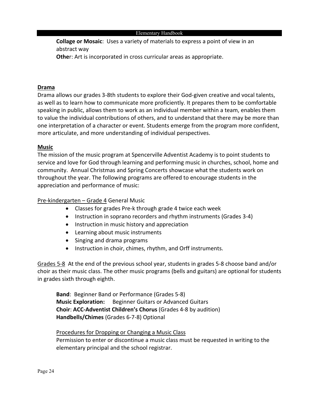**Collage or Mosaic**: Uses a variety of materials to express a point of view in an abstract way

**Othe**r: Art is incorporated in cross curricular areas as appropriate.

#### **Drama**

Drama allows our grades 3-8th students to explore their God-given creative and vocal talents, as well as to learn how to communicate more proficiently. It prepares them to be comfortable speaking in public, allows them to work as an individual member within a team, enables them to value the individual contributions of others, and to understand that there may be more than one interpretation of a character or event. Students emerge from the program more confident, more articulate, and more understanding of individual perspectives.

#### **Music**

The mission of the music program at Spencerville Adventist Academy is to point students to service and love for God through learning and performing music in churches, school, home and community. Annual Christmas and Spring Concerts showcase what the students work on throughout the year. The following programs are offered to encourage students in the appreciation and performance of music:

Pre-kindergarten – Grade 4 General Music

- Classes for grades Pre-k through grade 4 twice each week
- Instruction in soprano recorders and rhythm instruments (Grades 3-4)
- Instruction in music history and appreciation
- Learning about music instruments
- Singing and drama programs
- Instruction in choir, chimes, rhythm, and Orff instruments.

Grades 5-8 At the end of the previous school year, students in grades 5-8 choose band and/or choir as their music class. The other music programs (bells and guitars) are optional for students in grades sixth through eighth.

**Band**: Beginner Band or Performance (Grades 5-8) **Music Exploration:** Beginner Guitars or Advanced Guitars **Choir**: **ACC-Adventist Children's Chorus** (Grades 4-8 by audition) **Handbells/Chimes** (Grades 6-7-8) Optional

#### Procedures for Dropping or Changing a Music Class

Permission to enter or discontinue a music class must be requested in writing to the elementary principal and the school registrar.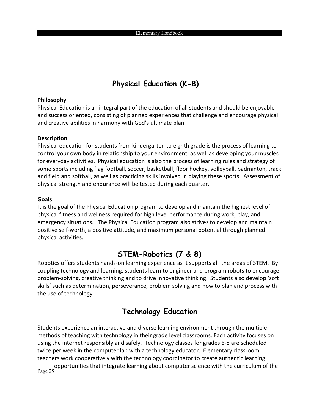## **Physical Education (K-8)**

#### **Philosophy**

Physical Education is an integral part of the education of all students and should be enjoyable and success oriented, consisting of planned experiences that challenge and encourage physical and creative abilities in harmony with God's ultimate plan.

#### **Description**

Physical education for students from kindergarten to eighth grade is the process of learning to control your own body in relationship to your environment, as well as developing your muscles for everyday activities. Physical education is also the process of learning rules and strategy of some sports including flag football, soccer, basketball, floor hockey, volleyball, badminton, track and field and softball, as well as practicing skills involved in playing these sports. Assessment of physical strength and endurance will be tested during each quarter.

#### **Goals**

It is the goal of the Physical Education program to develop and maintain the highest level of physical fitness and wellness required for high level performance during work, play, and emergency situations. The Physical Education program also strives to develop and maintain positive self-worth, a positive attitude, and maximum personal potential through planned physical activities.

#### **STEM-Robotics (7 & 8)**

Robotics offers students hands-on learning experience as it supports all the areas of STEM. By coupling technology and learning, students learn to engineer and program robots to encourage problem-solving, creative thinking and to drive innovative thinking. Students also develop 'soft skills' such as determination, perseverance, problem solving and how to plan and process with the use of technology.

#### **Technology Education**

Students experience an interactive and diverse learning environment through the multiple methods of teaching with technology in their grade level classrooms. Each activity focuses on using the internet responsibly and safely. Technology classes for grades 6-8 are scheduled twice per week in the computer lab with a technology educator. Elementary classroom teachers work cooperatively with the technology coordinator to create authentic learning

Page 25 opportunities that integrate learning about computer science with the curriculum of the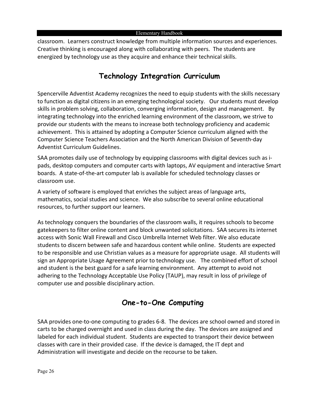classroom. Learners construct knowledge from multiple information sources and experiences. Creative thinking is encouraged along with collaborating with peers. The students are energized by technology use as they acquire and enhance their technical skills.

## **Technology Integration Curriculum**

Spencerville Adventist Academy recognizes the need to equip students with the skills necessary to function as digital citizens in an emerging technological society. Our students must develop skills in problem solving, collaboration, converging information, design and management. By integrating technology into the enriched learning environment of the classroom, we strive to provide our students with the means to increase both technology proficiency and academic achievement. This is attained by adopting a Computer Science curriculum aligned with the Computer Science Teachers Association and the North American Division of Seventh-day Adventist Curriculum Guidelines.

SAA promotes daily use of technology by equipping classrooms with digital devices such as ipads, desktop computers and computer carts with laptops, AV equipment and interactive Smart boards. A state-of-the-art computer lab is available for scheduled technology classes or classroom use.

A variety of software is employed that enriches the subject areas of language arts, mathematics, social studies and science. We also subscribe to several online educational resources, to further support our learners.

As technology conquers the boundaries of the classroom walls, it requires schools to become gatekeepers to filter online content and block unwanted solicitations. SAA secures its internet access with Sonic Wall Firewall and Cisco Umbrella Internet Web filter. We also educate students to discern between safe and hazardous content while online. Students are expected to be responsible and use Christian values as a measure for appropriate usage. All students will sign an Appropriate Usage Agreement prior to technology use. The combined effort of school and student is the best guard for a safe learning environment. Any attempt to avoid not adhering to the Technology Acceptable Use Policy (TAUP), may result in loss of privilege of computer use and possible disciplinary action.

## **One-to-One Computing**

SAA provides one-to-one computing to grades 6-8. The devices are school owned and stored in carts to be charged overnight and used in class during the day. The devices are assigned and labeled for each individual student. Students are expected to transport their device between classes with care in their provided case. If the device is damaged, the IT dept and Administration will investigate and decide on the recourse to be taken.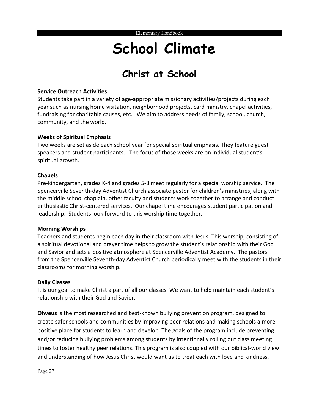# **School Climate**

# **Christ at School**

#### **Service Outreach Activities**

Students take part in a variety of age-appropriate missionary activities/projects during each year such as nursing home visitation, neighborhood projects, card ministry, chapel activities, fundraising for charitable causes, etc. We aim to address needs of family, school, church, community, and the world.

#### **Weeks of Spiritual Emphasis**

Two weeks are set aside each school year for special spiritual emphasis. They feature guest speakers and student participants. The focus of those weeks are on individual student's spiritual growth.

#### **Chapels**

Pre-kindergarten, grades K-4 and grades 5-8 meet regularly for a special worship service. The Spencerville Seventh-day Adventist Church associate pastor for children's ministries, along with the middle school chaplain, other faculty and students work together to arrange and conduct enthusiastic Christ-centered services. Our chapel time encourages student participation and leadership. Students look forward to this worship time together.

#### **Morning Worships**

Teachers and students begin each day in their classroom with Jesus. This worship, consisting of a spiritual devotional and prayer time helps to grow the student's relationship with their God and Savior and sets a positive atmosphere at Spencerville Adventist Academy. The pastors from the Spencerville Seventh-day Adventist Church periodically meet with the students in their classrooms for morning worship.

#### **Daily Classes**

It is our goal to make Christ a part of all our classes. We want to help maintain each student's relationship with their God and Savior.

**Olweus** is the most researched and best-known bullying prevention program, designed to create safer schools and communities by improving peer relations and making schools a more positive place for students to learn and develop. The goals of the program include preventing and/or reducing bullying problems among students by intentionally rolling out class meeting times to foster healthy peer relations. This program is also coupled with our biblical-world view and understanding of how Jesus Christ would want us to treat each with love and kindness.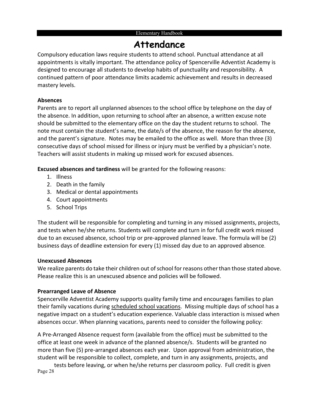# **Attendance**

Compulsory education laws require students to attend school. Punctual attendance at all appointments is vitally important. The attendance policy of Spencerville Adventist Academy is designed to encourage all students to develop habits of punctuality and responsibility. A continued pattern of poor attendance limits academic achievement and results in decreased mastery levels.

#### **Absences**

Parents are to report all unplanned absences to the school office by telephone on the day of the absence. In addition, upon returning to school after an absence, a written excuse note should be submitted to the elementary office on the day the student returns to school. The note must contain the student's name, the date/s of the absence, the reason for the absence, and the parent's signature. Notes may be emailed to the office as well. More than three (3) consecutive days of school missed for illness or injury must be verified by a physician's note. Teachers will assist students in making up missed work for excused absences.

**Excused absences and tardiness** will be granted for the following reasons:

- 1. Illness
- 2. Death in the family
- 3. Medical or dental appointments
- 4. Court appointments
- 5. School Trips

The student will be responsible for completing and turning in any missed assignments, projects, and tests when he/she returns. Students will complete and turn in for full credit work missed due to an excused absence, school trip or pre-approved planned leave. The formula will be (2) business days of deadline extension for every (1) missed day due to an approved absence.

#### **Unexcused Absences**

We realize parents do take their children out of school for reasons other than those stated above. Please realize this is an unexcused absence and policies will be followed.

#### **Prearranged Leave of Absence**

Spencerville Adventist Academy supports quality family time and encourages families to plan their family vacations during scheduled school vacations. Missing multiple days of school has a negative impact on a student's education experience. Valuable class interaction is missed when absences occur. When planning vacations, parents need to consider the following policy:

A Pre-Arranged Absence request form (available from the office) must be submitted to the office at least one week in advance of the planned absence/s. Students will be granted no more than five (5) pre-arranged absences each year. Upon approval from administration, the student will be responsible to collect, complete, and turn in any assignments, projects, and

Page 28 tests before leaving, or when he/she returns per classroom policy. Full credit is given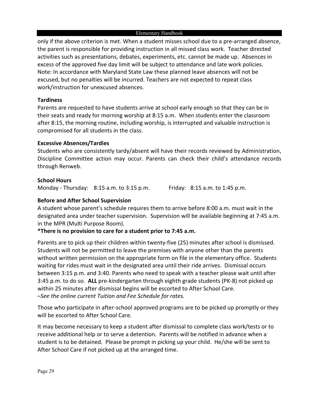only if the above criterion is met. When a student misses school due to a pre-arranged absence, the parent is responsible for providing instruction in all missed class work. Teacher directed activities such as presentations, debates, experiments, etc. cannot be made up. Absences in excess of the approved five day limit will be subject to attendance and late work policies. Note: In accordance with Maryland State Law these planned leave absences will not be excused, but no penalties will be incurred. Teachers are not expected to repeat class work/instruction for unexcused absences.

#### **Tardiness**

Parents are requested to have students arrive at school early enough so that they can be in their seats and ready for morning worship at 8:15 a.m. When students enter the classroom after 8:15, the morning routine, including worship, is interrupted and valuable instruction is compromised for all students in the class.

#### **Excessive Absences/Tardies**

Students who are consistently tardy/absent will have their records reviewed by Administration, Discipline Committee action may occur. Parents can check their child's attendance records through Renweb.

#### **School Hours**

Monday - Thursday: 8:15 a.m. to 3:15 p.m. Friday: 8:15 a.m. to 1:45 p.m.

#### **Before and After School Supervision**

A student whose parent's schedule requires them to arrive before 8:00 a.m. must wait in the designated area under teacher supervision. Supervision will be available beginning at 7:45 a.m. in the MPR (Multi Purpose Room).

#### **\*There is no provision to care for a student prior to 7:45 a.m.**

Parents are to pick up their children within twenty-five (25) minutes after school is dismissed. Students will not be permitted to leave the premises with anyone other than the parents without written permission on the appropriate form on file in the elementary office. Students waiting for rides must wait in the designated area until their ride arrives. Dismissal occurs between 3:15 p.m. and 3:40. Parents who need to speak with a teacher please wait until after 3:45 p.m. to do so. **ALL** pre-kindergarten through eighth grade students (PK-8) not picked up within 25 minutes after dismissal begins will be escorted to After School Care. –*See the online current Tuition and Fee Schedule for rates.*

Those who participate in after-school approved programs are to be picked up promptly or they will be escorted to After School Care.

It may become necessary to keep a student after dismissal to complete class work/tests or to receive additional help or to serve a detention. Parents will be notified in advance when a student is to be detained. Please be prompt in picking up your child. He/she will be sent to After School Care if not picked up at the arranged time.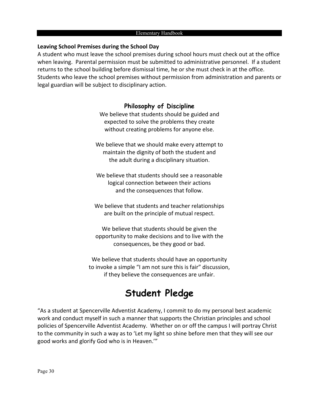#### **Leaving School Premises during the School Day**

A student who must leave the school premises during school hours must check out at the office when leaving. Parental permission must be submitted to administrative personnel. If a student returns to the school building before dismissal time, he or she must check in at the office. Students who leave the school premises without permission from administration and parents or legal guardian will be subject to disciplinary action.

#### **Philosophy of Discipline**

We believe that students should be guided and expected to solve the problems they create without creating problems for anyone else.

We believe that we should make every attempt to maintain the dignity of both the student and the adult during a disciplinary situation.

We believe that students should see a reasonable logical connection between their actions and the consequences that follow.

We believe that students and teacher relationships are built on the principle of mutual respect.

We believe that students should be given the opportunity to make decisions and to live with the consequences, be they good or bad.

We believe that students should have an opportunity to invoke a simple "I am not sure this is fair" discussion, if they believe the consequences are unfair.

# **Student Pledge**

"As a student at Spencerville Adventist Academy, I commit to do my personal best academic work and conduct myself in such a manner that supports the Christian principles and school policies of Spencerville Adventist Academy. Whether on or off the campus I will portray Christ to the community in such a way as to 'Let my light so shine before men that they will see our good works and glorify God who is in Heaven.'"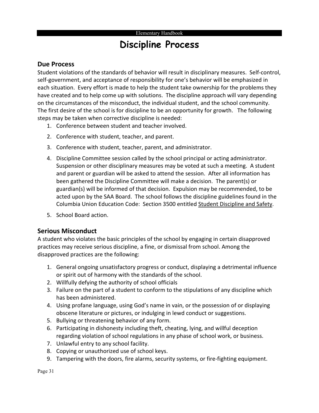# **Discipline Process**

#### **Due Process**

Student violations of the standards of behavior will result in disciplinary measures. Self-control, self-government, and acceptance of responsibility for one's behavior will be emphasized in each situation. Every effort is made to help the student take ownership for the problems they have created and to help come up with solutions. The discipline approach will vary depending on the circumstances of the misconduct, the individual student, and the school community. The first desire of the school is for discipline to be an opportunity for growth. The following steps may be taken when corrective discipline is needed:

- 1. Conference between student and teacher involved.
- 2. Conference with student, teacher, and parent.
- 3. Conference with student, teacher, parent, and administrator.
- 4. Discipline Committee session called by the school principal or acting administrator. Suspension or other disciplinary measures may be voted at such a meeting. A student and parent or guardian will be asked to attend the session. After all information has been gathered the Discipline Committee will make a decision. The parent(s) or guardian(s) will be informed of that decision. Expulsion may be recommended, to be acted upon by the SAA Board. The school follows the discipline guidelines found in the Columbia Union Education Code: Section 3500 entitled Student Discipline and Safety.
- 5. School Board action.

#### **Serious Misconduct**

A student who violates the basic principles of the school by engaging in certain disapproved practices may receive serious discipline, a fine, or dismissal from school. Among the disapproved practices are the following:

- 1. General ongoing unsatisfactory progress or conduct, displaying a detrimental influence or spirit out of harmony with the standards of the school.
- 2. Willfully defying the authority of school officials
- 3. Failure on the part of a student to conform to the stipulations of any discipline which has been administered.
- 4. Using profane language, using God's name in vain, or the possession of or displaying obscene literature or pictures, or indulging in lewd conduct or suggestions.
- 5. Bullying or threatening behavior of any form.
- 6. Participating in dishonesty including theft, cheating, lying, and willful deception regarding violation of school regulations in any phase of school work, or business.
- 7. Unlawful entry to any school facility.
- 8. Copying or unauthorized use of school keys.
- 9. Tampering with the doors, fire alarms, security systems, or fire-fighting equipment.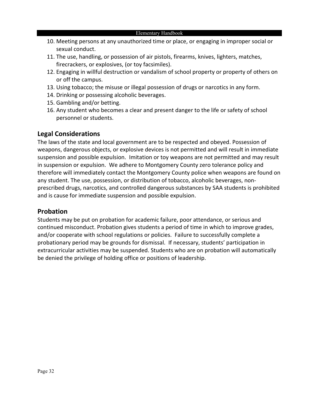- 10. Meeting persons at any unauthorized time or place, or engaging in improper social or sexual conduct.
- 11. The use, handling, or possession of air pistols, firearms, knives, lighters, matches, firecrackers, or explosives, (or toy facsimiles).
- 12. Engaging in willful destruction or vandalism of school property or property of others on or off the campus.
- 13. Using tobacco; the misuse or illegal possession of drugs or narcotics in any form.
- 14. Drinking or possessing alcoholic beverages.
- 15. Gambling and/or betting.
- 16. Any student who becomes a clear and present danger to the life or safety of school personnel or students.

#### **Legal Considerations**

The laws of the state and local government are to be respected and obeyed. Possession of weapons, dangerous objects, or explosive devices is not permitted and will result in immediate suspension and possible expulsion. Imitation or toy weapons are not permitted and may result in suspension or expulsion. We adhere to Montgomery County zero tolerance policy and therefore will immediately contact the Montgomery County police when weapons are found on any student. The use, possession, or distribution of tobacco, alcoholic beverages, nonprescribed drugs, narcotics, and controlled dangerous substances by SAA students is prohibited and is cause for immediate suspension and possible expulsion.

#### **Probation**

Students may be put on probation for academic failure, poor attendance, or serious and continued misconduct. Probation gives students a period of time in which to improve grades, and/or cooperate with school regulations or policies. Failure to successfully complete a probationary period may be grounds for dismissal. If necessary, students' participation in extracurricular activities may be suspended. Students who are on probation will automatically be denied the privilege of holding office or positions of leadership.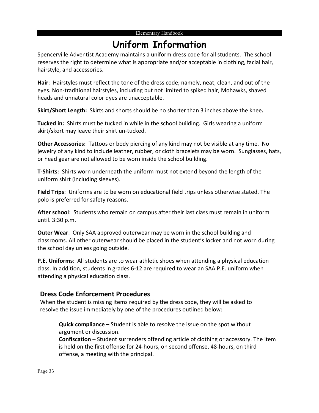# **Uniform Information**

Spencerville Adventist Academy maintains a uniform dress code for all students. The school reserves the right to determine what is appropriate and/or acceptable in clothing, facial hair, hairstyle, and accessories.

**Hair**: Hairstyles must reflect the tone of the dress code; namely, neat, clean, and out of the eyes. Non-traditional hairstyles, including but not limited to spiked hair, Mohawks, shaved heads and unnatural color dyes are unacceptable.

**Skirt/Short Length:** Skirts and shorts should be no shorter than 3 inches above the knee**.**

**Tucked in:** Shirts must be tucked in while in the school building. Girls wearing a uniform skirt/skort may leave their shirt un-tucked.

**Other Accessories:** Tattoos or body piercing of any kind may not be visible at any time. No jewelry of any kind to include leather, rubber, or cloth bracelets may be worn. Sunglasses, hats, or head gear are not allowed to be worn inside the school building.

**T-Shirts:** Shirts worn underneath the uniform must not extend beyond the length of the uniform shirt (including sleeves).

**Field Trips**: Uniforms are to be worn on educational field trips unless otherwise stated. The polo is preferred for safety reasons.

**After school**: Students who remain on campus after their last class must remain in uniform until. 3:30 p.m.

**Outer Wear**: Only SAA approved outerwear may be worn in the school building and classrooms. All other outerwear should be placed in the student's locker and not worn during the school day unless going outside.

**P.E. Uniforms**: All students are to wear athletic shoes when attending a physical education class. In addition, students in grades 6-12 are required to wear an SAA P.E. uniform when attending a physical education class.

#### **Dress Code Enforcement Procedures**

When the student is missing items required by the dress code, they will be asked to resolve the issue immediately by one of the procedures outlined below:

**Quick compliance** – Student is able to resolve the issue on the spot without argument or discussion.

**Confiscation** – Student surrenders offending article of clothing or accessory. The item is held on the first offense for 24-hours, on second offense, 48-hours, on third offense, a meeting with the principal.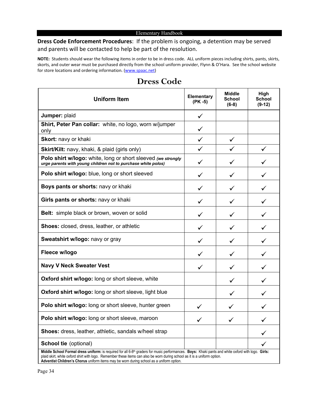#### **Dress Code Enforcement Procedures**: If the problem is ongoing, a detention may be served and parents will be contacted to help be part of the resolution.

**NOTE:** Students should wear the following items in order to be in dress code. ALL uniform pieces including shirts, pants, skirts, skorts, and outer wear must be purchased directly from the school uniform provider, Flynn & O'Hara. See the school website for store locations and ordering information. [\(www.spaac.net\)](http://www.spaac.net/)

| <b>Uniform Item</b>                                                                                                                                                                                                                                                                         | Elementary<br>$(PK - 5)$ | <b>Middle</b><br><b>School</b><br>$(6-8)$ | High<br><b>School</b><br>$(9-12)$ |  |  |  |  |
|---------------------------------------------------------------------------------------------------------------------------------------------------------------------------------------------------------------------------------------------------------------------------------------------|--------------------------|-------------------------------------------|-----------------------------------|--|--|--|--|
| Jumper: plaid                                                                                                                                                                                                                                                                               | ✓                        |                                           |                                   |  |  |  |  |
| Shirt, Peter Pan collar: white, no logo, worn w/jumper<br>only                                                                                                                                                                                                                              | ✓                        |                                           |                                   |  |  |  |  |
| Skort: navy or khaki                                                                                                                                                                                                                                                                        | ✓                        |                                           |                                   |  |  |  |  |
| Skirt/Kilt: navy, khaki, & plaid (girls only)                                                                                                                                                                                                                                               |                          |                                           | ✓                                 |  |  |  |  |
| Polo shirt w/logo: white, long or short sleeved (we strongly<br>urge parents with young children not to purchase white polos)                                                                                                                                                               | ✓                        | ✓                                         | ✓                                 |  |  |  |  |
| Polo shirt w/logo: blue, long or short sleeved                                                                                                                                                                                                                                              | ✓                        | ✓                                         |                                   |  |  |  |  |
| Boys pants or shorts: navy or khaki                                                                                                                                                                                                                                                         | ✓                        | ✓                                         |                                   |  |  |  |  |
| Girls pants or shorts: navy or khaki                                                                                                                                                                                                                                                        | ✓                        |                                           |                                   |  |  |  |  |
| Belt: simple black or brown, woven or solid                                                                                                                                                                                                                                                 | ✓                        | ✓                                         |                                   |  |  |  |  |
| <b>Shoes:</b> closed, dress, leather, or athletic                                                                                                                                                                                                                                           | ✓                        | ✓                                         | ✓                                 |  |  |  |  |
| Sweatshirt w/logo: navy or gray                                                                                                                                                                                                                                                             | ✓                        | ✓                                         |                                   |  |  |  |  |
| Fleece w/logo                                                                                                                                                                                                                                                                               | ✓                        | ✓                                         |                                   |  |  |  |  |
| <b>Navy V Neck Sweater Vest</b>                                                                                                                                                                                                                                                             | ✓                        | $\checkmark$                              |                                   |  |  |  |  |
| Oxford shirt w/logo: long or short sleeve, white                                                                                                                                                                                                                                            |                          | ✓                                         |                                   |  |  |  |  |
| Oxford shirt w/logo: long or short sleeve, light blue                                                                                                                                                                                                                                       |                          | ✓                                         |                                   |  |  |  |  |
| Polo shirt w/logo: long or short sleeve, hunter green                                                                                                                                                                                                                                       | ✓                        | ✓                                         |                                   |  |  |  |  |
| Polo shirt w/logo: long or short sleeve, maroon                                                                                                                                                                                                                                             | $\checkmark$             | ✓                                         |                                   |  |  |  |  |
| Shoes: dress, leather, athletic, sandals w/heel strap                                                                                                                                                                                                                                       |                          |                                           | ✓                                 |  |  |  |  |
| <b>School tie (optional)</b>                                                                                                                                                                                                                                                                |                          |                                           |                                   |  |  |  |  |
| Middle School Formal dress uniform: is required for all 6-8 <sup>th</sup> graders for music performances. Boys: Khaki pants and white oxford with logo. Girls:<br>plaid skirt, white oxford shirt with logo. Remember these items can also be worn during school as it is a uniform option. |                          |                                           |                                   |  |  |  |  |

#### **Dress Code**

Page 34 **Adventist Children's Chorus** uniform items may be worn during school as a uniform option.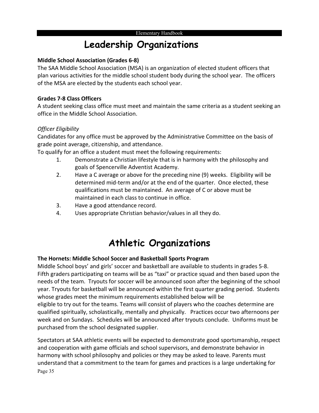# **Leadership Organizations**

#### **Middle School Association (Grades 6-8)**

The SAA Middle School Association (MSA) is an organization of elected student officers that plan various activities for the middle school student body during the school year. The officers of the MSA are elected by the students each school year.

#### **Grades 7-8 Class Officers**

A student seeking class office must meet and maintain the same criteria as a student seeking an office in the Middle School Association.

#### *Officer Eligibility*

Candidates for any office must be approved by the Administrative Committee on the basis of grade point average, citizenship, and attendance.

To qualify for an office a student must meet the following requirements:

- 1. Demonstrate a Christian lifestyle that is in harmony with the philosophy and goals of Spencerville Adventist Academy.
- 2. Have a C average or above for the preceding nine (9) weeks. Eligibility will be determined mid-term and/or at the end of the quarter. Once elected, these qualifications must be maintained. An average of C or above must be maintained in each class to continue in office.
- 3. Have a good attendance record.
- 4. Uses appropriate Christian behavior/values in all they do.

# **Athletic Organizations**

#### **The Hornets: Middle School Soccer and Basketball Sports Program**

Middle School boys' and girls' soccer and basketball are available to students in grades 5-8. Fifth graders participating on teams will be as "taxi" or practice squad and then based upon the needs of the team. Tryouts for soccer will be announced soon after the beginning of the school year. Tryouts for basketball will be announced within the first quarter grading period. Students whose grades meet the minimum requirements established below will be eligible to try out for the teams. Teams will consist of players who the coaches determine are qualified spiritually, scholastically, mentally and physically. Practices occur two afternoons per week and on Sundays. Schedules will be announced after tryouts conclude. Uniforms must be purchased from the school designated supplier.

Page 35 Spectators at SAA athletic events will be expected to demonstrate good sportsmanship, respect and cooperation with game officials and school supervisors, and demonstrate behavior in harmony with school philosophy and policies or they may be asked to leave. Parents must understand that a commitment to the team for games and practices is a large undertaking for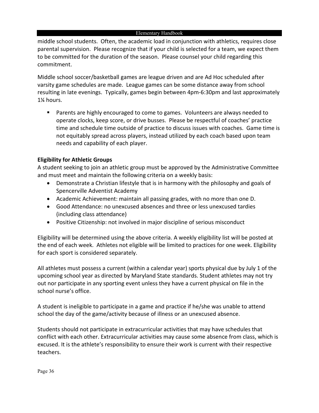middle school students. Often, the academic load in conjunction with athletics, requires close parental supervision. Please recognize that if your child is selected for a team, we expect them to be committed for the duration of the season. Please counsel your child regarding this commitment.

Middle school soccer/basketball games are league driven and are Ad Hoc scheduled after varsity game schedules are made. League games can be some distance away from school resulting in late evenings. Typically, games begin between 4pm-6:30pm and last approximately 1¼ hours.

 Parents are highly encouraged to come to games. Volunteers are always needed to operate clocks, keep score, or drive busses. Please be respectful of coaches' practice time and schedule time outside of practice to discuss issues with coaches. Game time is not equitably spread across players, instead utilized by each coach based upon team needs and capability of each player.

#### **Eligibility for Athletic Groups**

A student seeking to join an athletic group must be approved by the Administrative Committee and must meet and maintain the following criteria on a weekly basis:

- Demonstrate a Christian lifestyle that is in harmony with the philosophy and goals of Spencerville Adventist Academy
- Academic Achievement: maintain all passing grades, with no more than one D.
- Good Attendance: no unexcused absences and three or less unexcused tardies (including class attendance)
- Positive Citizenship: not involved in major discipline of serious misconduct

Eligibility will be determined using the above criteria. A weekly eligibility list will be posted at the end of each week. Athletes not eligible will be limited to practices for one week. Eligibility for each sport is considered separately.

All athletes must possess a current (within a calendar year) sports physical due by July 1 of the upcoming school year as directed by Maryland State standards. Student athletes may not try out nor participate in any sporting event unless they have a current physical on file in the school nurse's office.

A student is ineligible to participate in a game and practice if he/she was unable to attend school the day of the game/activity because of illness or an unexcused absence.

Students should not participate in extracurricular activities that may have schedules that conflict with each other. Extracurricular activities may cause some absence from class, which is excused. It is the athlete's responsibility to ensure their work is current with their respective teachers.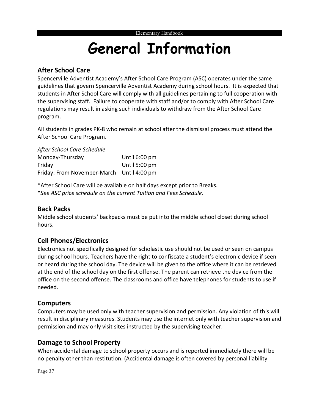# **General Information**

#### **After School Care**

Spencerville Adventist Academy's After School Care Program (ASC) operates under the same guidelines that govern Spencerville Adventist Academy during school hours. It is expected that students in After School Care will comply with all guidelines pertaining to full cooperation with the supervising staff. Failure to cooperate with staff and/or to comply with After School Care regulations may result in asking such individuals to withdraw from the After School Care program.

All students in grades PK-8 who remain at school after the dismissal process must attend the After School Care Program.

*After School Care Schedule* Monday-Thursday Until 6:00 pm Friday Until 5:00 pm Friday: From November-March Until 4:00 pm

\*After School Care will be available on half days except prior to Breaks. \**See ASC price schedule on the current Tuition and Fees Schedule*.

#### **Back Packs**

Middle school students' backpacks must be put into the middle school closet during school hours.

#### **Cell Phones/Electronics**

Electronics not specifically designed for scholastic use should not be used or seen on campus during school hours. Teachers have the right to confiscate a student's electronic device if seen or heard during the school day. The device will be given to the office where it can be retrieved at the end of the school day on the first offense. The parent can retrieve the device from the office on the second offense. The classrooms and office have telephones for students to use if needed.

#### **Computers**

Computers may be used only with teacher supervision and permission. Any violation of this will result in disciplinary measures. Students may use the internet only with teacher supervision and permission and may only visit sites instructed by the supervising teacher.

#### **Damage to School Property**

When accidental damage to school property occurs and is reported immediately there will be no penalty other than restitution. (Accidental damage is often covered by personal liability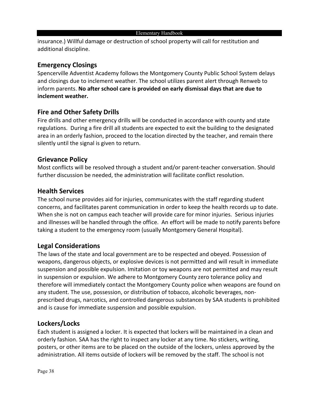insurance.) Willful damage or destruction of school property will call for restitution and additional discipline.

#### **Emergency Closings**

Spencerville Adventist Academy follows the Montgomery County Public School System delays and closings due to inclement weather. The school utilizes parent alert through Renweb to inform parents. **No after school care is provided on early dismissal days that are due to inclement weather.**

#### **Fire and Other Safety Drills**

Fire drills and other emergency drills will be conducted in accordance with county and state regulations. During a fire drill all students are expected to exit the building to the designated area in an orderly fashion, proceed to the location directed by the teacher, and remain there silently until the signal is given to return.

#### **Grievance Policy**

Most conflicts will be resolved through a student and/or parent-teacher conversation. Should further discussion be needed, the administration will facilitate conflict resolution.

#### **Health Services**

The school nurse provides aid for injuries, communicates with the staff regarding student concerns, and facilitates parent communication in order to keep the health records up to date. When she is not on campus each teacher will provide care for minor injuries. Serious injuries and illnesses will be handled through the office. An effort will be made to notify parents before taking a student to the emergency room (usually Montgomery General Hospital).

#### **Legal Considerations**

The laws of the state and local government are to be respected and obeyed. Possession of weapons, dangerous objects, or explosive devices is not permitted and will result in immediate suspension and possible expulsion. Imitation or toy weapons are not permitted and may result in suspension or expulsion. We adhere to Montgomery County zero tolerance policy and therefore will immediately contact the Montgomery County police when weapons are found on any student. The use, possession, or distribution of tobacco, alcoholic beverages, nonprescribed drugs, narcotics, and controlled dangerous substances by SAA students is prohibited and is cause for immediate suspension and possible expulsion.

#### **Lockers/Locks**

Each student is assigned a locker. It is expected that lockers will be maintained in a clean and orderly fashion. SAA has the right to inspect any locker at any time. No stickers, writing, posters, or other items are to be placed on the outside of the lockers, unless approved by the administration. All items outside of lockers will be removed by the staff. The school is not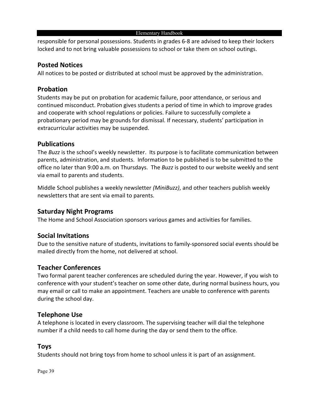responsible for personal possessions. Students in grades 6-8 are advised to keep their lockers locked and to not bring valuable possessions to school or take them on school outings.

#### **Posted Notices**

All notices to be posted or distributed at school must be approved by the administration.

#### **Probation**

Students may be put on probation for academic failure, poor attendance, or serious and continued misconduct. Probation gives students a period of time in which to improve grades and cooperate with school regulations or policies. Failure to successfully complete a probationary period may be grounds for dismissal. If necessary, students' participation in extracurricular activities may be suspended.

#### **Publications**

The *Buzz* is the school's weekly newsletter. Its purpose is to facilitate communication between parents, administration, and students. Information to be published is to be submitted to the office no later than 9:00 a.m. on Thursdays. The *Buzz* is posted to our website weekly and sent via email to parents and students.

Middle School publishes a weekly newsletter *(MiniBuzz)*, and other teachers publish weekly newsletters that are sent via email to parents.

#### **Saturday Night Programs**

The Home and School Association sponsors various games and activities for families.

#### **Social Invitations**

Due to the sensitive nature of students, invitations to family-sponsored social events should be mailed directly from the home, not delivered at school.

#### **Teacher Conferences**

Two formal parent teacher conferences are scheduled during the year. However, if you wish to conference with your student's teacher on some other date, during normal business hours, you may email or call to make an appointment. Teachers are unable to conference with parents during the school day.

#### **Telephone Use**

A telephone is located in every classroom. The supervising teacher will dial the telephone number if a child needs to call home during the day or send them to the office.

#### **Toys**

Students should not bring toys from home to school unless it is part of an assignment.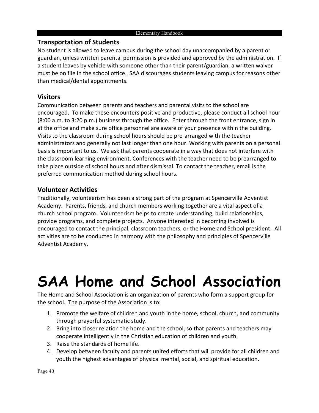#### **Transportation of Students**

No student is allowed to leave campus during the school day unaccompanied by a parent or guardian, unless written parental permission is provided and approved by the administration. If a student leaves by vehicle with someone other than their parent/guardian, a written waiver must be on file in the school office. SAA discourages students leaving campus for reasons other than medical/dental appointments.

#### **Visitors**

Communication between parents and teachers and parental visits to the school are encouraged. To make these encounters positive and productive, please conduct all school hour (8:00 a.m. to 3:20 p.m.) business through the office. Enter through the front entrance, sign in at the office and make sure office personnel are aware of your presence within the building. Visits to the classroom during school hours should be pre-arranged with the teacher administrators and generally not last longer than one hour. Working with parents on a personal basis is important to us. We ask that parents cooperate in a way that does not interfere with the classroom learning environment. Conferences with the teacher need to be prearranged to take place outside of school hours and after dismissal. To contact the teacher, email is the preferred communication method during school hours.

#### **Volunteer Activities**

Traditionally, volunteerism has been a strong part of the program at Spencerville Adventist Academy. Parents, friends, and church members working together are a vital aspect of a church school program. Volunteerism helps to create understanding, build relationships, provide programs, and complete projects. Anyone interested in becoming involved is encouraged to contact the principal, classroom teachers, or the Home and School president. All activities are to be conducted in harmony with the philosophy and principles of Spencerville Adventist Academy.

# **SAA Home and School Association**

The Home and School Association is an organization of parents who form a support group for the school. The purpose of the Association is to:

- 1. Promote the welfare of children and youth in the home, school, church, and community through prayerful systematic study.
- 2. Bring into closer relation the home and the school, so that parents and teachers may cooperate intelligently in the Christian education of children and youth.
- 3. Raise the standards of home life.
- 4. Develop between faculty and parents united efforts that will provide for all children and youth the highest advantages of physical mental, social, and spiritual education.